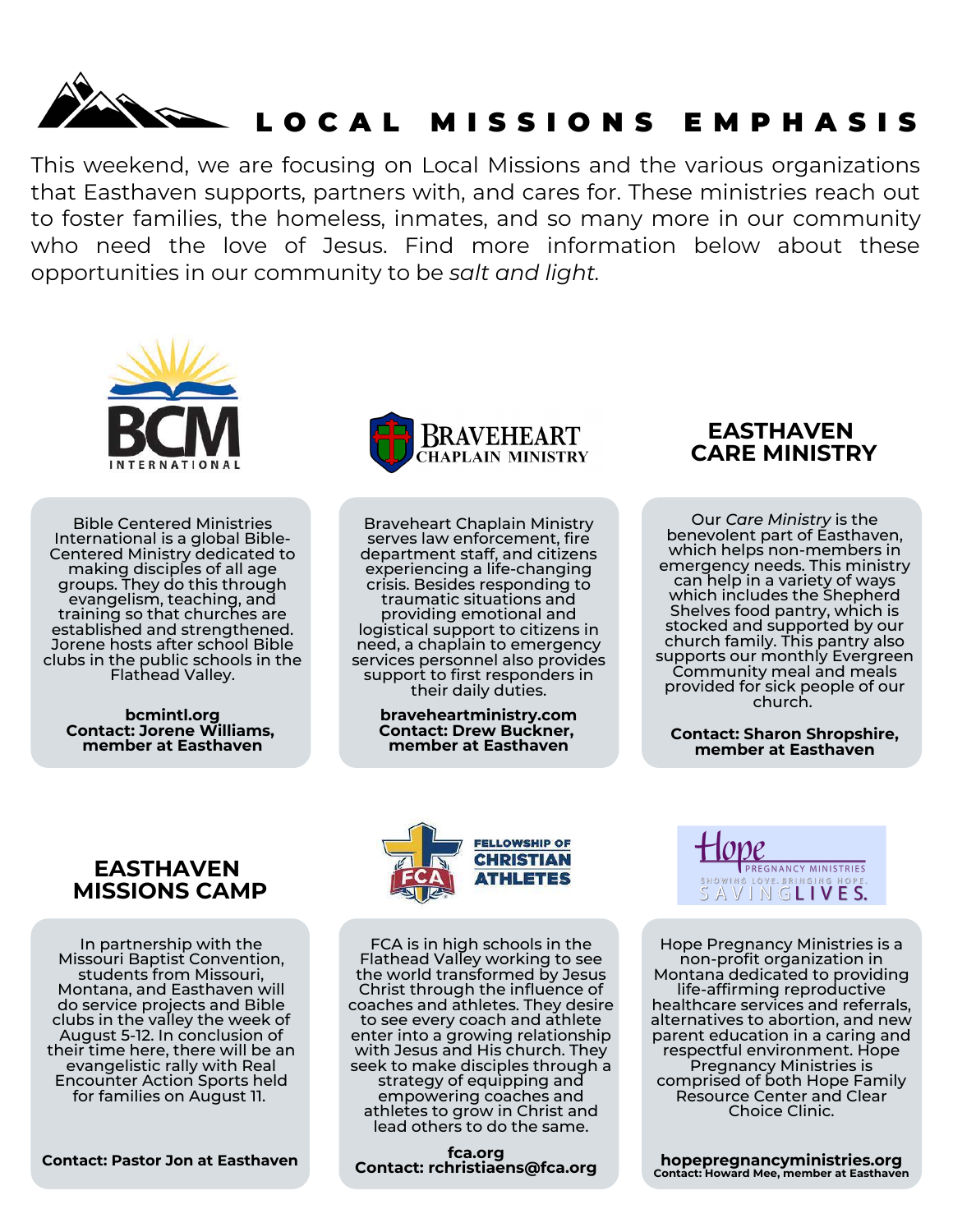

This weekend, we are focusing on Local Missions and the various organizations that Easthaven supports, partners with, and cares for. These ministries reach out to foster families, the homeless, inmates, and so many more in our community who need the love of Jesus. Find more information below about these opportunities in our community to be *salt and light.*



Bible Centered Ministries International is a global Bible-Centered Ministry dedicated to making disciples of all age groups. They do this through evangelism, teaching, and training so that churches are established and strengthened. Jorene hosts after school Bible clubs in the public schools in the Flathead Valley.

**bcmintl.org Contact: Jorene Williams, member at Easthaven**



Braveheart Chaplain Ministry serves law enforcement, fire department staff, and citizens experiencing a life-changing crisis. Besides responding to traumatic situations and providing emotional and logistical support to citizens in need, a chaplain to emergency services personnel also provides support to first responders in their daily duties.

> **braveheartministry.com member at Easthaven**

**EASTHAVEN CARE MINISTRY**

Our *Care Ministry* is the benevolent part of Easthaven, which helps non-members in emergency needs. This ministry can help in a variety of ways which includes the Shepherd Shelves food pantry, which is stocked and supported by our church family. This pantry also supports our monthly Evergreen Community meal and meals provided for sick people of our church.

**Contact: Sharon Shropshire, member at Easthaven**

### **EASTHAVEN MISSIONS CAMP**

In partnership with the Missouri Baptist Convention, students from Missouri, Montana, and Easthaven will do service projects and Bible clubs in the valley the week of August 5-12. In conclusion of their time here, there will be an evangelistic rally with Real Encounter Action Sports held for families on August 11.

**Contact: Pastor Jon at Easthaven**



FCA is in high schools in the Flathead Valley working to see the world transformed by Jesus Christ through the influence of coaches and athletes. They desire to see every coach and athlete enter into a growing relationship with Jesus and His church. They seek to make disciples through a strategy of equipping and empowering coaches and athletes to grow in Christ and lead others to do the same.

**fca.org Contact: rchristiaens@fca.org**



Hope Pregnancy Ministries is a non-profit organization in Montana dedicated to providing life-affirming reproductive healthcare services and referrals, alternatives to abortion, and new parent education in a caring and respectful environment. Hope Pregnancy Ministries is comprised of both Hope Family [Resource](https://hopepregnancyministries.org/hope-family-resource-center/) [Center](https://hopepregnancyministries.org/clear-choice-clinic/) and Clear Choice Clinic.

**hopepregnancyministries.org Contact: Howard Mee, member at Easthaven**